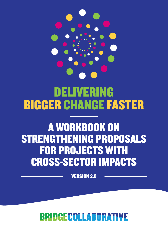

# DELIVERING BIGGER CHANGE FASTER

# A WORKBOOK ON STRENGTHENING PROPOSALS FOR PROJECTS WITH CROSS-SECTOR IMPACTS

VERSION 2.0

### BRIDGECOLLABORAT W.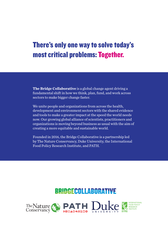## There's only one way to solve today's most critical problems: Together.

**The Bridge Collaborative** is a global change agent driving a fundamental shift in how we think, plan, fund, and work across sectors to make bigger change faster.

We unite people and organizations from across the health, development and environment sectors with the shared evidence and tools to make a greater impact at the speed the world needs now. Our growing global alliance of scientists, practitioners and organizations is moving beyond business as usual with the aim of creating a more equitable and sustainable world.

Founded in 2016, the Bridge Collaborative is a partnership led by The Nature Conservancy, Duke University, the International Food Policy Research Institute, and PATH.

## **BRIDGECOLLABORATIVE**



FOOD POLICY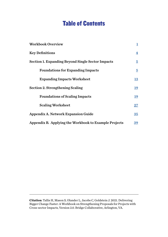### Table of Contents

| <b>Workbook Overview</b>                                 | ı                       |
|----------------------------------------------------------|-------------------------|
| <b>Key Definitions</b>                                   | $\overline{\mathbf{4}}$ |
| <b>Section 1. Expanding Beyond Single Sector Impacts</b> | $\overline{5}$          |
| <b>Foundations for Expanding Impacts</b>                 | $\overline{5}$          |
| <b>Expanding Impacts Worksheet</b>                       | <u>13</u>               |
| <b>Section 2. Strengthening Scaling</b>                  | <u>19</u>               |
| <b>Foundations of Scaling Impacts</b>                    | <u> 19</u>              |
| <b>Scaling Worksheet</b>                                 | $27\,$                  |
| <b>Appendix A. Network Expansion Guide</b>               | $35\phantom{.0}$        |
| Appendix B. Applying the Workbook to Example Projects    | <u>39</u>               |

**Citation**: Tallis H, Mason S, Olander L, Jacobs C, Goldstein J. 2021. Delivering Bigger Change Faster: A Workbook on Strengthening Proposals for Projects with Cross-sector Impacts, Version 2.0. Bridge Collaborative, Arlington, VA.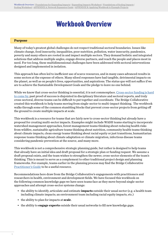## Workbook Overview

#### <span id="page-3-0"></span>**Purpose**

Many of today's greatest global challenges do not respect traditional sectoral boundaries. Issues like climate change, food insecurity, inequalities, poor nutrition, pollution, water insecurity, pandemics, poverty and many others are rooted in and impact multiple sectors. They demand holistic and integrated solutions that address multiple angles, engage diverse partners, and reach the people and places most in need. For too long, these multidimensional challenges have been addressed with sectoral interventions designed and implemented in isolation.

This approach has often led to inefficient use of scarce resources, and in many cases advanced results in some sectors at the expense of others. Many siloed responses have had tangible, detrimental impacts on the planet, as well as on people's lives, opportunities, and aspirations. The status quo will not suffice if we are to achieve the Sustainable Development Goals and the pledge to leave no one behind.

While we know that cross-sector thinking is essential, it is not commonplace. [Cross-sector funding is hard](http://bridgecollaborativeglobal.org/wp-content/uploads/2018/05/The-Philanthropic-Funding-Landscape-for-Integrating-Health-and-Environme....pdf) [to come by](http://bridgecollaborativeglobal.org/wp-content/uploads/2018/05/The-Philanthropic-Funding-Landscape-for-Integrating-Health-and-Environme....pdf), past proof of success is disjointed in disciplinary literature and sectoral reports, and truly cross-sectoral, diverse teams can be difficult to put together and coordinate. The Bridge Collaborative created this workbook to help teams moving from single-sector to multi-impact thinking. The workbook walks through some of the common stumbling blocks that prevent cross-sector projects from getting off the ground to create multiple impacts at scale.

This workbook is a resource for teams that are fairly new to cross-sector thinking but already have a proposal for creating multi-sector impacts. Examples might include WASH teams starting to incorporate watershed management approaches, forest management teams thinking about reducing health risks from wildfire, sustainable agriculture teams thinking about nutrition, community health teams thinking about climate impacts, clean energy teams thinking about racial equity or just transitions, humanitarian response teams thinking about climate adaptation or climate migration, infectious disease teams considering pandemic prevention at the source, and many more.

This workbook is not a comprehensive strategic planning guide, but rather is designed to help teams that already have an initial idea and draft proposal for a strategic plan or funding request. We assume a draft proposal exists, and the team wishes to strengthen the newer, cross-sector elements of the team's thinking. This is meant to serve as a complement to other traditional project design and planning frameworks. For example, teams earlier in the planning process may find the Bridge Collaborative [Practitioner's Guide](http://bridgecollaborativeglobal.org/wp-content/uploads/2018/02/Practitioners_Guide_Final_2.pdf) to be a useful resource.

Recommendations here draw from the Bridge Collaborative's engagements with practitioners and researchers in health, environment and development fields. We have focused this workbook on the following common knowledge gaps we have seen teams face as they move beyond single-sector approaches and attempt cross-sector systems change:

- the ability to identify, articulate and estimate **impacts** outside their usual sector (e.g. a health team including climate impacts; an environment team including racial equity impacts, etc.)
- the ability to plan for impacts at **scale**.
- the ability to **engage experts** outside their usual networks to fill new knowledge gaps.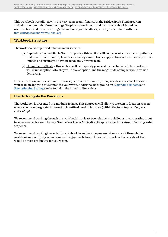This workbook was piloted with over 50 teams (semi-finalists in the Bridge Spark Fund program and additional rounds of user testing). We plan to continue to update this workbook based on user feedback and future learnings. We welcome your feedback, which you can share with us at [info@bridgecollaborativeglobal.org.](mailto:info%40bridgecollaborativeglobal.org?subject=)

#### **Workbook Structure**

The workbook is organized into two main sections:

- (1) Expanding Beyond Single Sector Impacts this section will help you articulate causal pathways that touch down in multiple sectors, identify assumptions, support logic with evidence, estimate impact, and ensure you have an adequately diverse team.
- (2) Strengthening Scale this section will help specify your scaling mechanism in terms of who will drive adoption, why they will drive adoption, and the magnitude of impacts you envision delivering.

For each section, we first summarize concepts from the literature, then provide a worksheet to assist your team in applying this content to your work. Additional background on [Expanding Impacts](https://youtu.be/slhbz11fSCE) and [Strengthening Scaling](https://youtu.be/UG39BGwAWeA) can be found in the linked online videos.

#### **How to Navigate the Workbook**

The workbook is presented in a modular format. This approach will allow your team to focus on aspects where you have the greatest interest or identified need to improve (within the focal topics of *impact* and *scaling*).

We recommend working through the workbook in at least two relatively rapid loops, incorporating input from new experts along the way. See the Workbook Navigation Graphic below for a visual of our suggested sequence.

We recommend working through this workbook in an iterative process. You can work through the workbook in its entirety, or you can use the graphic below to focus on the parts of the workbook that would be most productive for your team.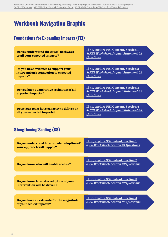### Workbook Navigation Graphic

### Foundations for Expanding Impacts (FEI)

| Do you understand the causal pathways<br>to all your expected impacts?                    | If no, explore FEI Content, Section 1<br>& FEI Worksheet, Impact Statement #1<br><b>Questions</b> |
|-------------------------------------------------------------------------------------------|---------------------------------------------------------------------------------------------------|
|                                                                                           |                                                                                                   |
| Do you have evidence to support your<br>intervention's connection to expected<br>impacts? | If no, explore FEI Content, Section 2<br>& FEI Worksheet, Impact Statement #2<br><b>Questions</b> |
|                                                                                           |                                                                                                   |
| Do you have quantitative estimates of all<br>expected impacts?                            | If no, explore FEI Content, Section 3<br>& FEI Worksheet, Impact Statement #3<br><b>Questions</b> |
|                                                                                           |                                                                                                   |
| Does your team have capacity to deliver on<br>all your expected impacts?                  | If no, explore FEI Content, Section 4<br>& FEI Worksheet, Impact Statement #4<br><b>Questions</b> |

### Stengthening Scaling (SS)

| Do you understand how broader adoption of<br>your approach will happen? | <u>If no, explore SS Content, Section 1</u><br>& SS Worksheet, Section #1 Questions |
|-------------------------------------------------------------------------|-------------------------------------------------------------------------------------|
|                                                                         |                                                                                     |
| Do you know who will enable scaling?                                    | <u>If no, explore SS Content, Section 2</u><br>& SS Worksheet, Section #2 Questions |
|                                                                         |                                                                                     |
| Do you know how later adoption of your<br>intervention will be driven?  | If no, explore SS Content, Section 3<br>& SS Worksheet, Section #3 Questions        |
|                                                                         |                                                                                     |
| Do you have an estimate for the magnitude<br>of your scaled impacts?    | <u>If no, explore SS Content, Section 4</u><br>& SS Worksheet, Section #4 Questions |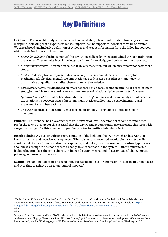## Key Definitions

<span id="page-6-0"></span>**Evidence:**<sup>1</sup> The available body of verifiable facts or verifiable, relevant information from any sector or discipline indicating that a hypothesis (or assumption) can be supported, considered valid, or refuted. We take a broad and inclusive definition of evidence and accept information from the following sources, which we define for use in this context:

- *• Expert knowledge:* The judgement of those with specialized knowledge obtained through training or experience. This includes local knowledge, traditional knowledge, and subject matter expertise.
- *• Measurement results:* Information gained from any measurement which may or may not be part of a study.
- *• Models:* A description or representation of an object or system. Models can be conceptual, mathematical, physical, mental, or computational. Models can be used in conjunction with quantitative or qualitative studies, theory, or expert knowledge.
- *• Qualitative studies:* Studies based on inference through a thorough understanding of a case(s) under study, but unable to characterize an absolute numerical relationship between parts of a system.
- *• Quantitative studies:* Studies based on inference through numerical data and analysis that describe the relationship between parts of a system. Quantitative studies may be experimental, quasiexperimental, or observational.
- *• Theory:* A scientifically accepted general principle or body of principles offered to explain phenomena.

**Impact**: 2 The intended, positive effect(s) of an intervention. We understand that some communities prefer the term outcome for this use, and that the environment community may associate this term with a negative change. For this exercise, 'impact' only refers to positive, intended effects.

Results chain:<sup>3</sup> A visual or written representation of the logic and theory by which an intervention leads to positive and negative consequences. When visually represented, results chains are typically constructed of notes (drivers and/or consequences) and links (lines or arrows representing hypotheses about how a change in one node causes a change in another node in the system). Other similar terms include: logic models, theory of change, influence diagram, means-ends diagram, causal chain, impact pathway, and results framework.

**Scaling:**<sup>4</sup> Expanding, adapting and sustaining successful policies, programs or projects in different places and over time to achieve a larger amount of impact(s).

<sup>1</sup> Tallis H, Kreis K, Olander L, Ringler C et al. 2017. Bridge Collaborative Practitioner's Guide: Principles and Guidance for Cross-sector Action Planning and Evidence Evaluation. Washington DC: The Nature Conservancy. Available at: [http://](http://bridgecollaborativeglobal.org/wp-content/uploads/2018/02/Practitioners_Guide_Final_2.pdf) [bridgecollaborativeglobal.org/wp-content/uploads/2018/02/Practitioners\\_Guide\\_Final\\_2.pdf](http://bridgecollaborativeglobal.org/wp-content/uploads/2018/02/Practitioners_Guide_Final_2.pdf). <sup>1</sup> Ibid.

<sup>&</sup>lt;sup>1</sup> Ibid.

<sup>4</sup> Adapted from Hartmann and Linn (2008), who note that this definition was developed in connection with the 2004 Shanghai conference on scaling up. Hartman A, Linn JF. 2008. Scaling Up: A framework and lessons for development effectiveness from literature and practice. Working paper 5: Wolfensohn Center for Development. Brookings Institution, Washington, DC.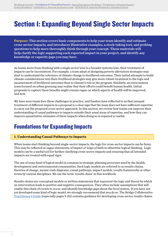## <span id="page-7-0"></span>Section 1: Expanding Beyond Single Sector Impacts

**Purpose:** This section covers basic components to help your team identify and estimate cross-sector impacts, and introduces illustrative examples, a stock-taking tool, and probing questions to help more thoroughly think through your concept. These materials will help clarify the logic supporting each expected impact in your project, and identify any knowledge or capacity gaps you may have.

As teams move from thinking with a single sector lens to a broader systems lens, their treatment of impacts can be inconsistent. For example, a team adept at designing poverty alleviation strategies may start to understand the relevance of climate change to livelihood outcomes. Their initial attempts to build climate considerations into their livelihood strategies may give more robust treatment to the logic and measurement of livelihood outcomes than to climate's role in the program. Similarly, an environment team focused on urban greening may realize that their efforts could benefit human health. Initial proposals to capture these benefits might remain vague on which aspects of health will be improved, and how.

We have seen teams face these challenges in practice, and funders have reflected to us that unequal treatment of different impacts in a proposal is a clear sign that the team does not have sufficient expertise to carry out the proposed cross-sector approach. In this section, we review how teams can improve their understanding of causal pathways to impacts outside their usual areas of expertise, and how they can improve quantitative estimates of these impacts when doing so is required or useful.

### <span id="page-7-1"></span>Foundations for Expanding Impacts

#### <span id="page-7-2"></span>**1. Understanding Causal Pathways to Impacts**

When teams start thinking beyond single-sector impacts, the logic for cross-sector impacts can be fuzzy. This may be reflected as vague statements of impact or leaps of faith in otherwise logical thinking. Logic models can be a useful tool for further clarifying cross-sector impacts and ensuring that all intended impacts are treated with equal rigor.

The use of some kind of logical model is common in strategic planning processes used by the health, development and environmental communities. Such logic models are referred to as results chains, theories of change, means-ends diagrams, causal pathways, impact models, results frameworks or other terms by various disciplines. We use the term 'results chain' in this workbook.

Results chains are conceptual models or written statements that represent the logic and theory by which an intervention leads to positive and negative consequences. They often include assumptions that will enable this chain of events to occur, and identify knowledge gaps about the focal system. If you have not yet developed some kind of logic model, we strongly recommend that you do so. The Bridge Collaborative [Practitioner's Guide](http://bridgecollaborativeglobal.org/wp-content/uploads/2018/02/Practitioners_Guide_Final_2.pdf) (especially pages 9-20) contains guidance for developing cross-sector results chains.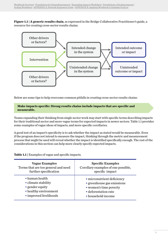**Figure 1.1 | A generic results chain**, as expressed in the Bridge Collaborative Practitioner's guide, a resource for creating cross-sector results chains.



Below are some tips to help overcome common pitfalls in creating cross-sector results chains:

#### **Make impacts specific: Strong results chains include impacts that are specific and measurable.**

Teams expanding their thinking from single sector work may start with specific terms describing impacts for their traditional sector and more vague terms for expected impacts in newer sectors. Table 1.1 provides some examples of vague ideas of impacts, and more specific corollaries.

A good test of an impact's specificity is to ask whether the impact as stated would be measurable. Even if the program does not intend to measure the impact, thinking through the metric and measurement process that might be used will reveal whether the impact is identified specifically enough. The rest of the considerations in this section can help more clearly specify expected impacts.

**Table 1.1 |** Examples of vague and specific impacts.

| <b>Vague Examples</b>               | <b>Specific Examples</b>            |
|-------------------------------------|-------------------------------------|
| Terms that are too general and need | Corollary examples of one possible, |
| further specification               | specific impact                     |
| • human health                      | · micronutrient deficiency          |
| • climate stability                 | • greenhouse gas emissions          |
| $\bullet$ gender equity             | • women's time poverty              |
| • healthy environment               | • deforestation rate                |
| • improved livelihoods              | • household income                  |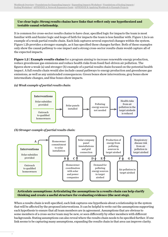#### **Use clear logic: Strong results chains have links that reflect only one hypothesized and testable causal relationship.**

It is common for cross-sector results chains to have clear, specified logic for impacts the team is most familiar with and fuzzier logic and leaps of faith for impacts the team is less familiar with. Figure 1.2a is an example of a weak partial results chain. Each link captures several expected changes within the system. Figure 1.2b provides a stronger example, as it has specified these changes further. Both of these examples only show the causal pathway to one impact and a strong cross-sector results chain would capture all of the expected impacts.

**Figure 1.2 | Example results chains** for a program aiming to increase renewable energy production, reduce greenhouse gas emissions and reduce health risks from fossil fuel-driven air pollution. The figures show a weak (a) and stronger (b) example of a partial results chain focused on the potential health impact. A full results chain would also include causal pathways to energy production and greenhouse gas emissions, as well as any unintended consequences. Green boxes show interventions, grey boxes show intermediate changes, and blue boxes show impacts.

#### *(a) Weak example of partial results chain:*



*( b) Stronger example of partial results chain:*



**Articulate assumptions: Articulating the assumptions in a results chain can help clarify thinking and create a useful structure for evaluating evidence (the next step).** 

When a results chain is well-specified, each link captures one hypothesis about a relationship in the system that will be affected by the proposed interventions. It can be helpful to write out the assumptions supporting each hypothesis to ensure that all team members are in agreement. Assumptions that are obvious to some members of a cross-sector team may be new, or seen differently by other members with different backgrounds. Stating assumptions can also reveal where the results chain needs to be specified further. If one link seems to be capturing many assumptions, expanding the results chain in that area can improve clarity.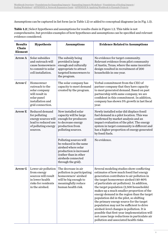Assumptions can be captured in list form (as in Table 1.2) or added to conceptual diagrams (as in Fig. 1.3).

| <b>Results</b><br><b>Chain</b><br><b>Element</b> | <b>Hypothesis</b>                                                                                                      | <b>Assumptions</b>                                                                                                                                                      | <b>Evidence Related to Assumptions</b>                                                                                                                                                                                                                                                                                                                                                                                                                                                                                                                                                                                                                                                          |
|--------------------------------------------------|------------------------------------------------------------------------------------------------------------------------|-------------------------------------------------------------------------------------------------------------------------------------------------------------------------|-------------------------------------------------------------------------------------------------------------------------------------------------------------------------------------------------------------------------------------------------------------------------------------------------------------------------------------------------------------------------------------------------------------------------------------------------------------------------------------------------------------------------------------------------------------------------------------------------------------------------------------------------------------------------------------------------|
| <b>Arrow A</b>                                   | Solar subsidies<br>and outreach will<br>cause homeowners<br>to commit to solar<br>cell installation.                   | The subsidy being<br>provided is large<br>enough and culturally<br>appropriate to attract<br>targeted homeowners to<br>the program.                                     | No evidence for target community.<br>Relevant evidence from pilot community<br>of Austin, Texas, where the same incentive<br>design resulted in recruitment of 200<br>households in one year.                                                                                                                                                                                                                                                                                                                                                                                                                                                                                                   |
| Arrow C                                          | Homeowner<br>outreach to the<br>solar company<br>will result in<br>solar panel<br>installation and<br>grid connection. | The solar company has<br>capacity to meet demand<br>created by the program.                                                                                             | Verbal commitment from the CEO of<br>partner company that they have capacity<br>to meet generated demand. Based on past<br>partnership with same company, we are<br>confident in this commitment. In addition,<br>company has shown 5% growth in last fiscal<br>year.                                                                                                                                                                                                                                                                                                                                                                                                                           |
| <b>Arrow E</b>                                   | Reduced demand<br>for polluting<br>energy sources will<br>lead to reduced use<br>of polluting energy<br>sources.       | New installed solar<br>capacity will be large<br>enough for producers<br>to decrease energy<br>production from<br>polluting sources.                                    | Newly installed solar did displace fossil<br>fuel demand in a pilot location. This was<br>confirmed by market analysis and an<br>impact evaluation of the pilot. The energy<br>system in target community is different and<br>has a higher proportion of energy generated<br>by fossil fuels.                                                                                                                                                                                                                                                                                                                                                                                                   |
|                                                  |                                                                                                                        | Polluting sources will<br>be reduced in the same<br>airshed where solar<br>production is increased<br>(rather than in other<br>airsheds connected<br>through the grid). | No evidence.                                                                                                                                                                                                                                                                                                                                                                                                                                                                                                                                                                                                                                                                                    |
| <b>Arrow G</b>                                   | Lower air pollution<br>from energy<br>sources will result<br>in lower health<br>risks for residents<br>in the airshed. | The decrease in air<br>pollution in participating<br>homeowners' airshed<br>will be big enough to<br>meaningfully reduce<br>human health risk.                          | Several modeling studies show conflicting<br>estimates of how much fossil fuel energy<br>generation contributes to air pollution in<br>the target homeowner airshed (40-80%<br>of particulate air pollution). In addition,<br>the target population (2,500 households)<br>makes up a much smaller proportion of the<br>energy demand in the region than the target<br>population did in the pilot, so shifting<br>the primary energy source for the target<br>population may not be sufficient to drive<br>airshed-level changes in pollution. It is<br>possible that first-year implementation will<br>not cause large reductions in particulate air<br>pollution and associated health risks. |

**Table 1.2 |** Select hypotheses and assumptions for results chain in Figure 1.2. This table is not comprehensive, but provides examples of how hypotheses and assumptions can be specified and relevant evidence considered.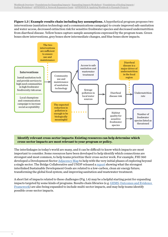**Figure 1.3 | Example results chain including key assumptions.** A hypothetical program proposes two interventions (sanitation technology and a communications campaign) to create improved safe sanitation and water access, decreased extinction risk for sensitive freshwater species and decreased undernutrition from diarrheal disease. Yellow boxes capture sample assumptions expressed by the program team. Green boxes show interventions, grey boxes show intermediate changes, and blue boxes show impacts.



#### **Identify relevant cross-sector impacts: Existing resources can help determine which cross-sector impacts are most relevant to your program or policy.**

The interlinkages in today's world are many, and it can be difficult to know which impacts are most important to consider. Some resources have been developed to help identify which connections are strongest and most common, to help teams prioritize their cross-sector work. For example, FHI 360 developed a Development Sector [Adjacency Map](https://www.fhi360.org/resource/development-sector-adjacency-map-planning-tool-integrated-development) to help with the very initial phases of exploring beyond a single sector. The Bridge Collaborative and UNDP released a [report](http://bridgecollaborativeglobal.org/wp-content/uploads/2019/09/Bigger-Change-Faster_FINAL_Web.pdf) showing what the strongest interlinked Sustainable Development Goals are related to a low-carbon, clean air energy future; transforming the global food system; and improving sanitation and wastewater treatment.

A short list of impacts related to these challenges (Fig. 1.4) may be a helpful starting point for expanding impacts targeted by some kinds of programs. Results chain libraries (e.g. [GEMS,](https://nicholasinstitute.duke.edu/sites/default/files/gems/GEMS-Evidence-Library.pdf) [Outcomes and Evidence](http://oef.rescue.org/)  [Framework\)](http://oef.rescue.org/) are also being expanded to include multi-sector impacts, and may help teams identify possible cross-sector impacts.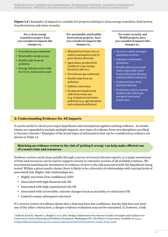**Figure 1.4 |** Examples of impacts to consider for projects relating to clean energy transition, food system transformation and water security.

For a clean energy transition project, have you considered impacts like changes in...

- Greenhouse gas emissions
- Renewable energy access
- Health risks from air pollution
- Energy infrastructure risks for rivers, lands and oceans

For sustainable and healthy food system projects, have you considered impacts like changes in...

- Malnutrition from over or underconsumption and/or poor dietary diversity
- Agriculture productivity (yields of crops, forage, livestock, fish etc.)
- Greenhouse gas emissions
- Health risks from air pollution
- Habitat conversion
- Freshwater biodiversity risks from water use (e.g. irrigation) and water pollution (e.g. agrochemical and sediment pollution)

For water security and WASH projects, have you considered impacts like changes in...

- Access to safely managed sanitation services
- Adequate wastewater treatment
- Health risks from unsafe water (especially water borne infectious diseases, antimicrobial resistance)
- Undernutrition from diarrheal disease
- Freshwater and/or marine biodiversity risks from sewage & untreated wastewater

#### <span id="page-12-0"></span>**[2: Understanding Evidence for All Impacts](#page-18-0)**

It can be useful to check your major hypotheses and assumptions against existing evidence. As results chains are expanded to include multiple impacts, new types of evidence from new disciplines are likely to become relevant.<sup>5</sup> Examples of the broad types of information that can be considered as evidence are shown in Table 1.2.

#### **Matching an evidence review to the risk of 'getting it wrong' can help make efficient use of a team's time and resources.**

Evidence review can be done quickly through a survey of several relevant experts, or a larger investment of time and resources can be used to support cursory to extensive reviews of all available evidence. We recommend matching the investment in evidence review to the risk associated with the hypothesis being tested. Within a given results chains, there is likely to be a diversity of relationships with varying levels of associated risk. Higher risk relationships are:

- Highly uncertain (low confidence) AND
- Associated with high financial risk OR
- Associated with high reputational risk OR
- Associated with irreversible, extreme changes (such as mortality or extinction) OR
- Linked to many subsequent outcomes

If a cursory review of evidence shows that a link may have low confidence, but the link does not meet any of the other criteria here, a deeper evidence evaluation may not be warranted. If, however, a link

<sup>5</sup> Tallis H, Kreis K, Olander L, Ringler C et al. 2017. Bridge Collaborative Practitioner's Guide: Principles and Guidance for Cross-sector Action Planning and Evidence Evaluation. Washington DC: The Nature Conservancy. Available at: [http://](http://bridgecollaborativeglobal.org/wp-content/uploads/2018/02/Practitioners_Guide_Final_2.pdf) [bridgecollaborativeglobal.org/wp-content/uploads/2018/02/Practitioners\\_Guide\\_Final\\_2.pdf](http://bridgecollaborativeglobal.org/wp-content/uploads/2018/02/Practitioners_Guide_Final_2.pdf).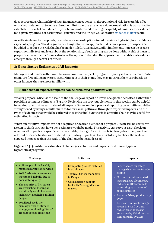does represent a relationship of high financial consequence, high reputational risk, irreversible effect or is a key node central to many subsequent links, a more extensive evidence evaluation is warranted to establish the level of confidence. If your team is interested in rating the quality of cross-sector evidence for a given hypothesis or assumption, you may find the Bridge Collaborative [evidence matrix](http://bridgecollaborativeglobal.org/wp-content/uploads/2019/08/Evidence-Rubric.Interactive.D6.pdf) useful.

As with single-sector proposals, teams have a range of options for addressing a high-risk, low confidence aspect of a program. The design can be changed to use an approach that is more proven, or aspects can be added to reduce the risk that has been identified. Alternatively, pilot implementation can be used to experimentally test and learn about the relationship, if such testing can be done without risk of harm to people or environments. Teams also have the option to abandon the approach until additional evidence emerges through the work of others.

#### <span id="page-13-0"></span>**3: Quantitative Estimates of All Impacts**

Managers and funders often want to know how much impact a program or policy is likely to create. When teams are first adding new cross-sector impacts to their plans, they may not treat them as robustly as other impacts they are more familiar with.

#### **Ensure that all expected impacts can be estimated quantitatively.**

Weaker proposals discuss the scale of the challenge or report on levels of expected activities, rather than providing estimates of impacts (Fig. 1.4). Reviewing the previous elements in this section can be helpful in making quantitative estimates of all impacts. For example, a proposal reporting on activities could be strengthened by using a results chain to follow causal pathways through to expected impacts, and the types of evidence that would be gathered to test the final hypothesis in a results chain may be useful for estimating impacts.

When quantitative impacts are not a required or desired element of a proposal, it can still be useful for a team to think through how such estimates would be made. This activity can serve as a gut check on whether all impacts are specific and measurable, the logic for all impacts is clearly described, and the relevant evidence has been considered. Estimating impacts is also a useful way to check the scale of expected impact against the scale of the challenge being addressed.

| Challenge                                                                                                                                                                                                                                                                                  | <b>Activities</b>                                                                                                                                                | <b>Impacts</b>                                                                                                                                                                                                                                            |
|--------------------------------------------------------------------------------------------------------------------------------------------------------------------------------------------------------------------------------------------------------------------------------------------|------------------------------------------------------------------------------------------------------------------------------------------------------------------|-----------------------------------------------------------------------------------------------------------------------------------------------------------------------------------------------------------------------------------------------------------|
| • 4 billion people lack safely<br>managed sanitation services<br>• 20% freshwater species are<br>threatened globally due to<br>poor water quality<br>• The majority of fish stocks<br>are overfished. Fishing all<br>sustainably would increase<br>yields 30% and help 5 million<br>people | • Composting toilets installed<br>in 50 villages<br>• Train 50 fishery managers<br>in Kenya<br>• Use a decision support<br>tool with 2 energy decision<br>makers | • Secure access for safely<br>managed sanitation for 500<br>people.<br>• Nutrients (and associated<br>harmful algae blooms) are<br>reduced in 10 watersheds<br>containing 35 threatened<br>aquatic species<br>• Increase fishery productivity<br>by $1\%$ |
| $\bullet$ Forgil fund use is the                                                                                                                                                                                                                                                           |                                                                                                                                                                  | . .                                                                                                                                                                                                                                                       |

**Figure 1.5** | Quantitative estimates of challenges, activities and impacts for different types of hypothetical programs.

#### • Fossil fuel use is the primary driver of climate change, contributing 73% of greenhouse gas emissions

• Increase renewable energy access in Brazil by 25%, reduce greenhouse gas emissions by 150 M metric tons annually by 2025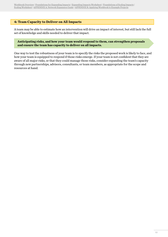#### <span id="page-14-0"></span>**4: Team Capacity to Deliver on All Impacts**

A team may be able to estimate how an intervention will drive an impact of interest, but still lack the full set of knowledge and skills needed to deliver that impact.

**Anticipating risks, and how your team would respond to them, can strengthen proposals and ensure the team has capacity to deliver on all impacts.** 

One way to test the robustness of your team is to specify the risks the proposed work is likely to face, and how your team is equipped to respond if those risks emerge. If your team is not confident that they are aware of all major risks, or that they could manage those risks, consider expanding the team's capacity through new partnerships, advisors, consultants, or team members, as appropriate for the scope and resources at hand.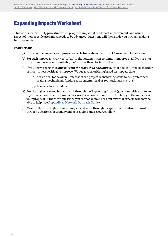### <span id="page-15-1"></span><span id="page-15-0"></span>Expanding Impacts Worksheet

This worksheet will help prioritize which proposed impact(s) need most improvement, and which aspect of their specification most needs to be advanced. Questions will then guide you through making improvements.

#### **Instructions:**

- (1) List all of the impacts your project expects to create in the Impact Assessment table below.
- (2) For each impact, answer 'yes' or 'no' to the statements in columns numbered 1-4. If you are not sure, then the answer is probably 'no' and worth exploring further.
- (3) If you answered **'No' in any column** *for more than one impact*, prioritize the impacts in order of most-to-least critical to improve. We suggest prioritizing based on impacts that:
	- (a) Are critical to the overall success of the project (considering stakeholder preferences, scaling mechanisms, funder requirements, legal or reputational risks, etc.);
	- (b) You have low confidence in.
- (4) For the highest ranked impact, work through the Expanding Impact Questions with your team. If you can answer them all yourselves, use the answers to improve the clarity of the impacts in your proposal. If there are questions you cannot answer, seek out external experts who may be able to help (see [Appendix A: Network Outreach Guide\)](#page-37-1).
- (5) Move to the next-highest ranked impact and work through the questions. Continue to work through questions for as many impacts as time and resources allow.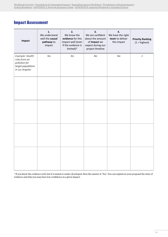### Impact Assessment

| Impact                                                                                     | 1.<br>We understand<br>well the causal<br>pathway to<br>impact | 2.<br>We know the<br>evidence for this<br>impact well (even<br>if the evidence is<br>limited)* | 3.<br>We are confident<br>about the amount<br>of impact we<br>expect during our<br>project timeline | 4.<br>We have the right<br>team to deliver<br>this impact | <b>Priority Ranking</b><br>$(1 =$ highest) |
|--------------------------------------------------------------------------------------------|----------------------------------------------------------------|------------------------------------------------------------------------------------------------|-----------------------------------------------------------------------------------------------------|-----------------------------------------------------------|--------------------------------------------|
| Example: Health<br>risks from air<br>pollution for<br>target populations<br>in Los Angeles | Yes                                                            | Yes                                                                                            | $N_O$                                                                                               | $N_O$                                                     | $\ensuremath{\mathnormal{1}}$              |
|                                                                                            |                                                                |                                                                                                |                                                                                                     |                                                           |                                            |
|                                                                                            |                                                                |                                                                                                |                                                                                                     |                                                           |                                            |
|                                                                                            |                                                                |                                                                                                |                                                                                                     |                                                           |                                            |
|                                                                                            |                                                                |                                                                                                |                                                                                                     |                                                           |                                            |

\* If you know the evidence well, but it is mixed or under-developed, then the answer is 'Yes'. You can explain in your proposal the state of evidence and why you may have low confidence in a given impact.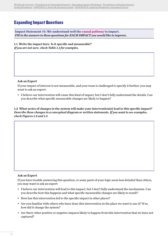### Expanding Impact Questions

<span id="page-17-0"></span>**Impact Statement #1: We understand well the causal pathway to impact.**  *Fill in the answers to these questions for EACH IMPACT you would like to improve.*

1.1 Write the impact here. Is it specific and measurable? *If you are not sure, check Table 1.1 for examples.*

Ask an Expert

If your impact of interest is not measurable, and your team is challenged to specify it further, you may want to ask an expert:

• I believe our intervention will cause this kind of impact, but I don't fully understand the details. Can you describe what specific measurable changes are likely to happen?

1.2 What series of changes in the system will make your intervention(s) lead to this specific impact? *Describe these changes in a conceptual diagram or written statements. If you want to see examples, check Figures 1.2 and 1.3.*

#### Ask an Expert

If you have trouble answering this question, or some parts of your logic seem less detailed than others, you may want to ask an expert:

- I believe our intervention will lead to this impact, but I don't fully understand the mechanism. Can you describe how this happens and what specific measurable changes are likely to result?
- How has this intervention led to the specific impact in other places?
- Are you familiar with others who have done this intervention in the place we want to use it? If so, how did it change the system?
- Are there other positive or negative impacts likely to happen from this intervention that we have not captured?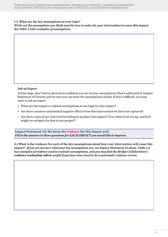#### 1.3 What are the key assumptions in your logic?

*Write out the assumptions you think must be true in order for your intervention to cause this impact. See Table 1.2 for examples of assumptions.*

#### Ask an Expert

At this stage, don't worry about how confident you are in your assumptions (that's addressed in Impact Statement #2 below), just be sure you can state the assumptions clearly. If this is difficult, you may want to ask an expert:

- What are the largest or riskiest assumptions in our logic for this impact?
- Are there common unintended negative effects from this intervention we have not captured?
- Are there cases of our intervention failing to produce this impact? If so, what went wrong, and how might we mitigate for that in our project?

<span id="page-18-0"></span>**Impact Statement #2: We know the evidence for this impact well.**  *Fill in the answers to these questions for EACH IMPACT you would like to improve.*

2.1 What is the evidence for each of the key assumptions about how your intervention will cause this impact? *If you are not sure what your key assumptions are, see Impact Statement #1 above. Table 1.2 has examples of evidence used to evaluate assumptions, and you may find the Bridge Collaborative's evidence evaluation rubric useful if you have time/need to do a systematic evidence review.*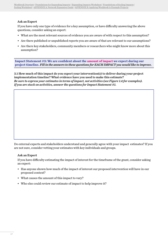#### Ask an Expert

If you have only one type of evidence for a key assumption, or have difficulty answering the above questions, consider asking an expert:

- What are the most relevant sources of evidence you are aware of with respect to this assumption?
- Are there published or unpublished reports you are aware of that are relevant to our assumptions?
- Are there key stakeholders, community members or researchers who might know more about this assumption?

<span id="page-19-0"></span>**Impact Statement #3: We are confident about the amount of impact we expect during our project timeline.** *Fill in the answers to these questions for EACH IMPACT you would like to improve.*

3.1 How much of this impact do you expect your intervention(s) to deliver during your project implementation timeline? What evidence have you used to make this estimate? *Be sure to express your estimates in terms of impact, not activities (see Figure 1.4 for examples). If you are stuck on activities, answer the questions for Impact Statement #1.*

Do external experts and stakeholders understand and generally agree with your impact estimates? If you are not sure, consider vetting your estimates with key individuals and groups.

#### Ask an Expert

If you have difficulty estimating the impact of interest for the timeframe of the grant, consider asking an expert:

- Has anyone shown how much of the impact of interest our proposed intervention will have in our proposed context?
- What causes the amount of this impact to vary?
- Who else could review our estimate of impact to help improve it?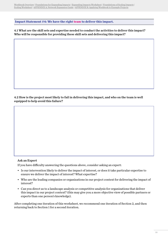<span id="page-20-0"></span>**Impact Statement #4: We have the right team to deliver this impact.**

4.1 What are the skill sets and expertise needed to conduct the activities to deliver this impact? Who will be responsible for providing these skill sets and delivering this impact?

4.2 How is the project most likely to fail in delivering this impact, and who on the team is well equipped to help avoid this failure?

#### Ask an Expert

If you have difficulty answering the questions above, consider asking an expert:

- Is our intervention likely to deliver the impact of interest, or does it take particular expertise to ensure we deliver the impact of interest? What expertise?
- Who are the leading companies or organizations in our project context for delivering the impact of interest?
- Can you direct us to a landscape analysis or competitive analysis for organizations that deliver this impact in our project context? (this may give you a more objective view of possible partners or experts than one person's knowledge).

After completing one iteration of this worksheet, we recommend one iteration of Section 2, and then returning back to Section 1 for a second iteration.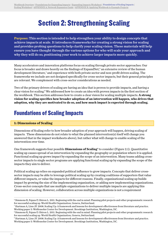## Section 2: Strengthening Scaling

<span id="page-21-0"></span>**Purpose:** This section is intended to help strengthen your ability to design concepts that achieve impacts at scale. It introduces frameworks for creating a strong vision for scaling and provides probing questions to help clarify your scaling vision. These materials will help ensure you have thought through the various options for who will scale your approach and why they will do so, positioning your work to achieve larger impacts more quickly.

Many accelerators and innovation platforms focus on scaling through private sector approaches. Our focus is broader and draws heavily on the findings of ExpandNet, $^6$  an extensive review of the human development literature,<sup>7</sup> and experience with both private sector and non-profit driven scaling. The frameworks we include are not designed specifically for cross-sector impacts, but their general principles are relevant. We complement with cross-sector considerations as needed.

Two of the primary drivers of scaling are having an idea that is proven to provide impacts, and having a clear vision for scaling.<sup>8</sup> We addressed how to create an idea with proven impacts in the first section of the workbook. This section addresses how to create a clear vision for scaling multiple impacts. **A strong vision for scaling specifies how broader adoption of an intervention will happen, who drives that adoption, why they are motivated to do so, and how much impact is expected through scaling.**

### <span id="page-21-1"></span>Foundations of Scaling Impacts

#### <span id="page-21-2"></span>**1: Dimensions of Scaling**

Dimensions of Scaling refer to how broader adoption of your approach will happen, driving scaling of impacts. These dimensions do not relate to what the planned intervention(s) itself will change you answered that in the impact worksheets above), but rather what will change to enable scaling of the intervention over time.

One framework suggests four possible **Dimensions of Scaling**<sup>9</sup> to consider (Figure 2.1). Quantitative scaling up causes spread of an intervention by expanding the geography or population where it is applied. Functional scaling up grows impact by expanding the scope of an intervention. Many teams adding crosssector impacts to single sector programs are applying functional scaling up by expanding the scope of the impacts they aim to deliver.

Political scaling up relies on expanded political influence to grow impacts. Concepts that deliver crosssector impacts may be able to leverage political scaling up by creating coalitions of supporters that value different impacts, or value the impacts for different reasons. Finally, organizational scaling up builds impact by growing the size of the implementing organization, or adding new implementing organizations. Cross-sector concepts that use multiple organizations to deliver multiple impacts are applying this dimension of scaling. However, collaboration across multiple organizations is not a requirement

<sup>6</sup> Simmons R, Fajans P, Ghiron L. 2011. Beginning with the end in mind: Planning pilot projects and other programmatic research for successful scaling up. World Health Organization, Geneva, Switzerland.

<sup>7</sup> Hartman A, Linn JF. 2008. Scaling Up: A framework and lessons for development effectiveness from literature and practice. Working paper 5: Wolfensohn Center for Development. Brookings Institution, Washington, DC.

<sup>8</sup> Simmons R, Fajans P, Ghiron L. 2011. Beginning with the end in mind: Planning pilot projects and other programmatic research for successful scaling up. World Health Organization, Geneva, Switzerland.

<sup>9</sup> Hartman A, Linn JF. 2008. Scaling Up: A framework and lessons for development effectiveness from literature and practice. Working paper 5: Wolfensohn Center for Development. Brookings Institution, Washington, DC.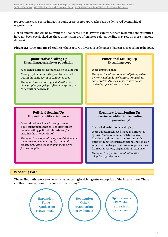for creating cross-sector impact, as some cross-sector approaches can be delivered by individual organizations.

Not all dimensions will be relevant to all concepts, but it is worth exploring them to be sure opportunities have not been overlooked. As these dimensions are often inter-related, scaling may rely on more than one dimension.

**Figure 2.1 | Dimensions of Scaling**<sup>10</sup> that capture a diverse set of changes that can cause scaling to happen.

#### **Quantitative Scaling Up** Expanding geography or population

- Also called 'horizontal scaling up' or 'scaling out'
- More people, communities, or places added within the same sector or functional area
- *• Example: Intervention replicated with new demographic group (e.g. different age group) or in new city or ecosystem.*

#### **Functional Scaling Up** Expanding scope

- More impacts added
- *• Example: An intervention initially designed to deliver sustainable agricultural productivity gains is altered to also improve nutritional content of agricultural products.*

#### **Political Scaling Up** Expanding political influence

- More adoption achieved through greater political influence that shields efforts from countervailing political interests and/or sustains the intervention(s)
- *• Example: A new regulation is passed that makes an intervention mandatory. Or, community leaders are cultivated as champions to drive further adoption.*

#### **Organizational Scaling Up** Growing or adding implementing organization(s)

- Also called institutional scaling up
- More adoption achieved through horizontal (growing more or similar institutions) or functional (adding more institutions with different functions such as regional, national or super-national organizations, or organizations from other sectors) organizational expansion
- *• Example: A corporate roundtable adds ten adopting organizations*

#### <span id="page-22-0"></span>**2: Scaling Path**

The scaling path refers to who will enable scaling by driving future adoption of the intervention. There are three basic options for who can drive scaling:<sup>11</sup>

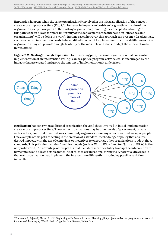**Expansion** happens when the same organization(s) involved in the initial application of the concept create more impact over time (Fig. 2.2). Increase in impact can be driven by growth in the size of the organization, or by more parts of the existing organization promoting the concept. An advantage of this path is that it allows for more uniformity of the deployment of the intervention (since the same organization(s) will be doing the work). In some cases, however, this approach can present a disadvantage, such as when an intervention needs to be modified to account for place-based or cultural differences. One organization may not provide enough flexibility or the most relevant skills to adapt the intervention to new contexts.

**Figure 2.2 | Scaling through expansion.** In this scaling path, the same organization that does initial implementation of an intervention ('thing': can be a policy, program, activity, etc) is encouraged by the impacts that are created and grows the amount of implementation it undertakes.



**Replication** happens when additional organizations beyond those involved in initial implementation create more impact over time. These other organizations may be other levels of government, private sector actors, nonprofit organizations, community organizations or any other organized group of people. One example of this path to scaling is the creation of a standard, methodology or policy that ensures desired impacts, with the use of campaigns or incentives to encourage other organizations to adopt those standards. This path also includes franchise models (such as World Wide Fund for Nature or BRAC in the nonprofit world). An advantage of this path is that it enables more flexibility to adapt the intervention to new contexts and allows flexible matching of roles to organizational strengths. A potential drawback is that each organization may implement the intervention differently, introducing possible variation in results.

<sup>10</sup> Simmons R, Fajans P, Ghiron L. 2011. Beginning with the end in mind: Planning pilot projects and other programmatic research for successful scaling up. World Health Organization, Geneva, Switzerland.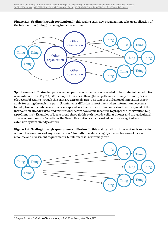**Figure 2.3 | Scaling through replication.** In this scaling path, new organizations take up application of the intervention ('thing'), growing impact over time.



**Spontaneous diffusion** happens when no particular organization is needed to facilitate further adoption of an intervention (Fig. 2.4). While hopes for success through this path are extremely common, cases of successful scaling through this path are extremely rare. The tenets of diffusion of innovation theory apply to scaling through this path . Spontaneous diffusion is most likely when information necessary for adoption of the intervention is easily spread, necessary institutional infrastructure for spread of the intervention already exists, and institutional actors have some incentive to propel the intervention (e.g. a profit motive). Examples of ideas spread through this path include cellular phones and the agricultural advances commonly referred to as the Green Revolution (which worked because an agricultural extension system already existed).

**Figure 2.4 | Scaling through spontaneous diffusion.** In this scaling path, an intervention is replicated without the assistance of any organization. This path to scaling is highly coveted because of its low resource and investment requirements, but its success is extremely rare.



#### <sup>11</sup> Rogers E. 1983. Diffusion of Innovations, 3rd ed. Free Press, New York, NY.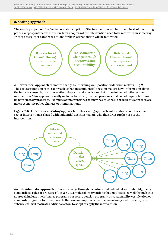#### <span id="page-25-0"></span>**3. Scaling Approach**

The **scaling approach**12 refers to *how* later adoption of the intervention will be driven. In all of the scaling paths except spontaneous diffusion, later adopters of the intervention need to be motivated in some way. In these cases, there are three options for how later adoption will be motivated:



A **hierarchical approach** promotes change by informing well-positioned decision makers (Fig. 2.5). The basic assumption of this approach is that once influential decision makers have information about the impacts caused by the intervention, they will make decisions that drive further adoption of the intervention. This approach usually includes top down, planned programs that do not require bottomup participatory processes. Examples of interventions that may be scaled well through this approach are macroeconomic policy changes or immunizations.

**Figure 2.5 | Hierarchical scaling approach.** In this scaling approach, information about the crosssector intervention is shared with influential decision makers, who then drive further use of the intervention.



An **individualistic approach** promotes change through incentives and individual accountability, using standardized rules or processes (Fig. 2.6). Examples of interventions that may be scaled well through this approach include microfinance programs, corporate pension programs, or sustainability certification or standards programs. In this approach, the core assumption is that the incentive (social pressure, rule, subsidy, etc) will motivate additional actors to adopt or apply the intervention.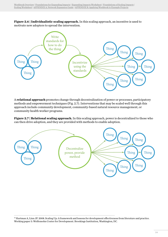**Figure 2.6 | Individualistic scaling approach.** In this scaling approach, an incentive is used to motivate new adopters to spread the intervention.



A **relational approach** promotes change through decentralization of power or processes, participatory methods and empowerment techniques (Fig. 2.7). Interventions that may be scaled well through this approach include community development, community-based natural resource management, or community health worker programs.

**Figure 2.7 | Relational scaling approach.** In this scaling approach, power is decentralized to those who can then drive adoption, and they are provided with methods to enable adoption.



<sup>&</sup>lt;sup>12</sup> Hartman A, Linn JF. 2008. Scaling Up: A framework and lessons for development effectiveness from literature and practice. Working paper 5: Wolfensohn Center for Development. Brookings Institution, Washington, DC.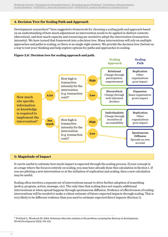#### <span id="page-27-0"></span>**4. Decision Tree for Scaling Path and Approach**

Development researchers<sup>13</sup> have suggested a framework for choosing a scaling path and approach based on an understanding of how much adjustment an intervention needs to be applied in distinct contexts (discretion), and how much capacity and resourcing are needed to adopt the intervention (transaction intensity). We have turned that framework into a decision tree. Many interventions will rely on multiple approaches and paths to scaling, so there is no single right answer. We provide the decision tree (below) as a way to test your thinking and help explore options for paths and approaches to scaling.





#### **5: Magnitude of Impact**

It can be useful to estimate how much impact is expected through the scaling process. If your concept is at a stage where the focus is entirely on scaling, you may have already done this calculation in Section 1. If you are piloting a new intervention or at the initiation of replication and scaling, then a new calculation may be useful.

Scaling often involves a separate set of interventions meant to drive further adoption of something (policy, program, action, message, etc). The only time that scaling does not require additional interventions is when spread happens through spontaneous diffusion. Evidence of effectiveness of scaling interventions will be needed to make a robust estimate of future expected impacts through scaling. This is very likely to be different evidence than you used to estimate expected direct impacts (Section 1).

<sup>&</sup>lt;sup>13</sup> Pritchett L, Woolcock M. 2004. Solutions when the solution is the problem: arraying the disarray in development. *World Development* 32(2): 191-212.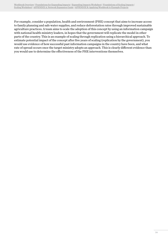For example, consider a population, health and environment (PHE) concept that aims to increase access to family planning and safe water supplies, and reduce deforestation rates through improved sustainable agriculture practices. A team aims to scale the adoption of this concept by using an information campaign with national health ministry leaders, in hopes that the government will replicate the model in other parts of the country. This is an example of scaling through replication using a hierarchical approach. To estimate potential impact of the concept after five years of scaling (replication by the government), you would use evidence of how successful past information campaigns in the country have been, and what rate of spread occurs once the target ministry adopts an approach. This is clearly different evidence than you would use to determine the effectiveness of the PHE interventions themselves.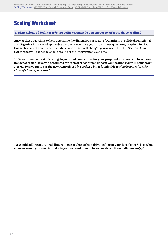### <span id="page-29-2"></span><span id="page-29-0"></span>Scaling Worksheet

<span id="page-29-1"></span>**1. Dimensions of Scaling:** *What* **specific changes do you expect to affect to drive scaling?**

Answer these questions to help determine the dimensions of scaling (Quantitative, Political, Functional, and Organizational) most applicable to your concept. As you answer these questions, keep in mind that this section is not about what the intervention itself will change (you answered that in Section 1), but rather what will change to enable scaling of the intervention over time.

1.1 What dimension(s) of scaling do you think are critical for your proposed intervention to achieve impact at scale? Have you accounted for each of these dimensions in your scaling vision in some way? *It is not important to use the terms introduced in Section 2 but it is valuable to clearly articulate the kinds of change you expect.*

1.2 Would adding additional dimension(s) of change help drive scaling of your idea faster? If so, what changes would you need to make in your current plan to incorporate additional dimension(s)?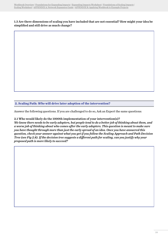#### 1.3 Are there dimensions of scaling you have included that are not essential? How might your idea be simplified and still drive as much change?

<span id="page-30-0"></span>**2. Scaling Path:** *Who* **will drive later adoption of the intervention?**

Answer the following questions. If you are challenged to do so, Ask an Expert the same questions:

2.1 Who would likely do the 1000th implementation of your intervention(s)? *We know there needs to be early adopters, but people tend to do a better job of thinking about them, and a worse job of thinking about who comes after the early adopters. This question is meant to make sure you have thought through more than just the early spread of an idea. Once you have answered this question, check your answer against what you get if you follow the Scaling Approach and Path Decision Tree (see Fig 2.8). If the decision tree suggests a different path for scaling, can you justify why your proposed path is more likely to succeed?*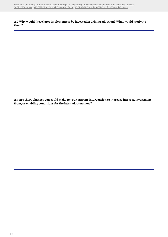#### 2.2 Why would these later implementers be invested in driving adoption? What would motivate them?

2.3 Are there changes you could make to your current intervention to increase interest, investment from, or enabling conditions for the later adopters now?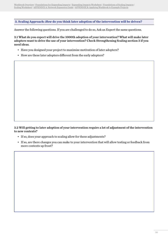<span id="page-32-0"></span>**3. Scaling Approach:** *How* **do you think later adoption of the intervention will be driven?**

Answer the following questions. If you are challenged to do so, Ask an Expert the same questions.

3.1 What do you expect will drive the 1000th adoption of your intervention? What will make later adopters want to drive the use of your intervention? Check Strengthening Scaling section 3 if you need ideas.

- Have you designed your project to maximize motivation of later adopters?
- How are these later adopters different from the early adopters?

3.2 Will getting to later adoption of your intervention require a lot of adjustment of the intervention to new contexts?

- If so, does your approach to scaling allow for these adjustments?
- If so, are there changes you can make to your intervention that will allow testing or feedback from more contexts up front?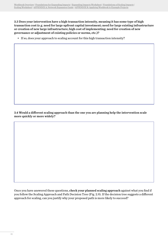3.3 Does your intervention have a high transaction intensity, meaning it has some type of high transaction cost (e.g. need for large upfront capital investment; need for large existing infrastructure or creation of new large infrastructure; high cost of implementing; need for creation of new governance or adjustment of existing policies or norms, etc.)?

• If so, does your approach to scaling account for this high transaction intensity?

3.4 Would a different scaling approach than the one you are planning help the intervention scale more quickly or more widely?

Once you have answered these questions, check your planned scaling approach against what you find if you follow the Scaling Approach and Path Decision Tree (Fig. 2.9). If the decision tree suggests a different approach for scaling, can you justify why your proposed path is more likely to succeed?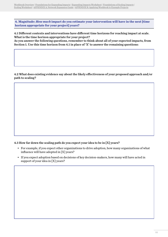<span id="page-34-0"></span>**4. Magnitude:** *How much* **impact do you estimate your intervention will have in the next [time horizon appropriate for your project] years?**

4.1 Different contexts and interventions have different time horizons for reaching impact at scale. What is the time horizon appropriate for your project?

As you answer the following questions, remember to think about all of your expected impacts, from Section 1. Use this time horizon from 4.1 in place of 'X' to answer the remaining questions:

4.2 What does existing evidence say about the likely effectiveness of your proposed approach and/or path to scaling?

#### 4.3 How far down the scaling path do you expect your idea to be in [X] years?

- For example, if you expect other organizations to drive adoption, how many organizations of what influence will have adopted in [X] years?
- If you expect adoption based on decisions of key decision-makers, how many will have acted in support of your idea in [X] years?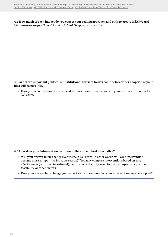4.4 How much of each impact do you expect your scaling approach and path to create in [X] years? *Your answers to questions 4.2 and 4.3 should help you answer this.*

#### 4.5 Are there important political or institutional barriers to overcome before wider adoption of your idea will be possible?

• Have you accounted for the time needed to overcome these barriers in your estimation of impact in [X] years?

#### 4.6 How does your intervention compare to the current best alternative?

- Will your answer likely change over the next [X] years (in other words, will your intervention become more competitive for some reason)? You may compare interventions based on cost effectiveness (return on investment), cultural acceptability, need for context-specific adjustment, feasibility, or other factors.
- Does your answer here change your expectations about how fast your intervention may be adopted?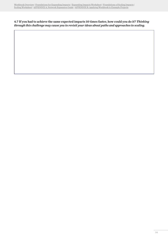4.7 If you had to achieve the same expected impacts 10 times faster, how could you do it? *Thinking through this challenge may cause you to revisit your ideas about paths and approaches to scaling.*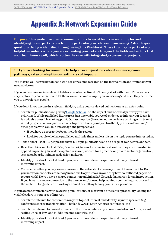## <span id="page-37-1"></span><span id="page-37-0"></span>Appendix A: Network Expansion Guide

**Purpose:** This guide provides recommendations to assist teams in searching for and identifying new experts to reach out to, particularly in relation to answering 'Ask an Expert' questions that you identified through using this Workbook. These tips may be particularly helpful in contexts where you are expanding your network beyond the fields and sectors that your team knows well, which is often the case with integrated, cross-sector projects.

**1. If you are looking for someone to help answer questions about evidence, causal pathways, rates of adoption, or estimates of impact:**

You may be well served by someone who has done some research on the intervention and/or impact you need advice on.

If you know someone in a relevant field or area of expertise, don't be shy, start with them. This can be a very exploratory conversation to let them know the kind of input you are seeking and ask if they can direct you to any relevant people.

If you don't know anyone in a relevant field, try using peer-reviewed publications as an entry point:

- Search for publications (e.g. using [Google Scholar\)](https://scholar.google.com) on the impact and/or causal pathway you have prioritized. While published literature is just one viable source of evidence to inform your ideas, it is a widely accessible starting point. Our assumption (based on our experience working with teams) is that people who have published on a topic can likely point you to other types of evidence and/or other people with valuable knowledge and perspectives.
	- If you have a geographic focus, include the region.
	- Look for people who have published multiple times (at least 3) on the topic you are interested in.
- Take a short list of 3-5 people that have multiple publications and do a regular web search on them.
- Read their bios and look at CVs (if available), to look for some indication that they are interested in applied impact (e.g. have done applied research, worked for a practice or private sector organization, served on boards, influenced decision makers).
- Identify your short list of at least 3 people who have relevant expertise and likely interest in informing impact.
- Consider whether you may know someone in the network of a person you want to reach out to. Do you know someone else at their organization? Do you know anyone they have co-authored papers or reports with? Do you have a shared connection on LinkedIn? If so, ask that person for an introduction. If you have no known connection to the person and/or need help making a compelling ask, proceed to the section 3 for guidance on writing an email or crafting talking points for a phone call.

If you are not comfortable with reviewing publications, or just want a different approach, try looking for visible leaders in your area of interest.

- Search the internet for conferences on your topic of interest and identify keynote speakers (e.g. conference energy transformation Thailand; WASH Latin America conference; etc.).
- Search the internet for award winners on the topic of interest (e.g. award nutrition in Africa; award scaling up solar low- and middle-income countries, etc.).
- Identify your short list of at least 3 people who have relevant expertise and likely interest in informing impact.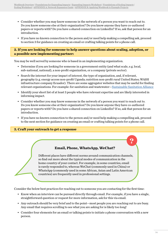- Consider whether you may know someone in the network of a person you want to reach out to. Do you know someone else at their organization? Do you know anyone they have co-authored papers or reports with? Do you have a shared connection on LinkedIn? If so, ask that person for an introduction.
- If you have no known connection to the person and/or need help making a compelling ask, proceed to section 3 for guidance on creating an email or crafting talking points for a phone call.

#### **2. If you are looking for someone to help answer questions about scaling, adoption, or a possible new implementing partner:**

You may be well served by someone who is based in an implementing organization.

- Determine if you are looking for someone in a government entity (and what scale, e.g. local, sub-national, national), a non-profit organization, or a company (private sector).
- Search the internet for your impact of interest, the type of organization, and, if relevant, geography (e.g. energy access non-profit Uganda; nutrition non-profit rural United States; WASH infrastructure company Ecuador). There are some aggregator websites that may be useful for finding relevant organizations. For example: for sanitation and wastewater—[Sustainable Sanitation Alliance](https://www.susana.org/en/community/partners/list?test=)
- Identify your short list of at least 3 people who have relevant expertise and are likely interested in informing impact.
- Consider whether you may know someone in the network of a person you want to reach out to. Do you know someone else at their organization? Do you know anyone they have co-authored papers or reports with? Do you have a shared connection on LinkedIn? If so, ask that person for an introduction.
- If you have no known connection to the person and/or need help making a compelling ask, proceed to the next section for guidance on creating an email or crafting talking points for a phone call.

#### **3. Craft your outreach to get a response**

#### **Email, Phone, WhatsApp, WeChat?**

Different places have different norms around communication channels, so find out more about the typical modes of communication in the home country of your contact. For example, in some countries, email is rarely responded to, whereas WeChat (commonly used in China) or WhatsApp (commonly used in some African, Asian and Latin American countries) are frequently used in professional settings.

Consider the below best practices for reaching out to someone you are contacting for the first time:

- Know when an interview can be pursued directly through email. For example, if you have a single, straightforward question or request for more information, ask for this via email.
- Any outreach should be very brief and to the point—most people you are reaching out to are busy. Any email that requires scrolling to see what you are asking for is likely too long!
- Consider four elements for an email or talking points to initiate a phone conversation with a new person.

**?**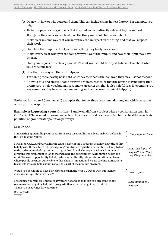- (1) Open with how or why you found them. This can include some honest flattery. For example, you might:
	- Refer to a paper or blog of theirs that inspired you or is directly relevant to your request.
	- Recognize they are a known leader on the thing you would like advice about.
	- Make clear in some way that you know they are an expert on the thing, and that you respect their work.
- (2) State how their input will help with something they likely care about.
	- Make it very clear what you are doing, why you want their input, and how their input may have impact.
- (3) State your request very clearly (you don't want your would-be expert to be unclear about what you are asking for)
- (4) Give them an easy out that still helps you.
	- For some people, saying no is hard, so if they feel that is their answer, they may just not respond.
	- To avoid this, and give you some forward progress, recognize that the person may not have time or interest to help you, but may respond to an easier ask that is also helpful (e.g. like sending you any resources they have or recommending another person that might help you).

See below for two real (anonymized) examples that follow these recommendations, and which were met with a positive response:

**Example 1: Requesting a consultation**—Sample email from a project where a conservation team in California, USA, wanted to consult experts on how agricultural practices affect human health through air pollution or groundwater pollution pathways.

Dear Dr. XXX,

I am writing upon finding your paper from 2013 on air pollution effects on birth defects in the San Joaquin Valley.

I work for XXXX, and our California team is developing a program that may have the ability to help with these effects. The passage of groundwater regulation in the state is likely to lead to the retirement of a large amount of agricultural land. Our organization is interested in directing this retirement to lands that will help the environment AND human health the most. We see an opportunity to help reduce agriculturally related air pollution in places where people are most vulnerable to these health impacts, and we are seeking connections to experts who can help us think about this part of the possible program.

Would you be willing to have a brief phone call in the next 1-2 weeks with our team to discuss some questions we have?

I recognize your time is limited, so if you are not able to talk, can you direct me to any resources that might be helpful, or suggest other experts I might reach out to? Thank you in advance for your time.

Best regards, XXXX

*How you found them*

*How their input will help with something they likely care about*

*Clear request*

*Easy out that still helps you*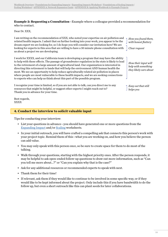#### **Example 2: Requesting a Consultation**—Example where a colleague provided a recommendation for who to contact.

Dear Dr. XXX,

I am writing on the recommendation of XXX, who noted your expertise on air pollution and related health impacts. I admit that on further looking into your work, you appear to be the dream expert we are looking for, so I do hope you will consider our invitation here! We are looking for experts in this area that are willing to have a 30 minute phone consultation with us about a project we are developing.

I work for XXXX, and our California team is developing a program that may have the ability to help with these effects. The passage of groundwater regulation in the state is likely to lead to the retirement of a large amount of agricultural land. Our organization is interested in directing this retirement to lands that will help the environment AND human health the most. We see an opportunity to help reduce agriculturally related air pollution in places where people are most vulnerable to these health impacts, and we are seeking connections to experts who can help us think about this part of the possible program.

I recognize your time is limited, so if you are not able to talk, can you direct me to any resources that might be helpful, or suggest other experts I might reach out to? Thank you in advance for your time.

Best regards, XXXX

#### **4. Conduct the interview to solicit valuable input**

Tips for conducting your interview:

- List your questions in advance—you should have generated one or more questions from the Expan[ding Impact](#page-15-1) and/or [Scaling](#page-29-2) worksheets.
- In your initial outreach, you will have crafted a compelling ask that connects this person's work with your project topic. Remind them of this—what you are working on, and how you believe the person can add value.
- You may only speak with this person once, so be sure to create space for them to do most of the talking.
- Walk through your questions, starting with the highest priority ones. After the person responds, it may be helpful to ask open-ended follow-up questions to draw out more information, such as "Can you tell me more about…?" or "Can you explain why that is the case?"
- Ask for any additional resources or recommended experts to speak with next.
- Thank them for their time!
- If relevant, ask them if they would like to continue to be involved in some specific way, or if they would like to be kept informed about the project. Only include this if you have bandwidth to do the follow up, but even a short outreach like this can plant seeds for later collaborations.

*How you found them, with honest flattery*

*Clear request*

*How their input will help with something they likely care about*

*Easy out that still helps you*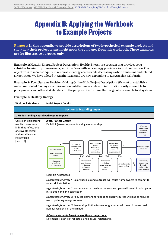## <span id="page-41-0"></span>Appendix B: Applying the Workbook to Example Projects

**Purpose:** In this appendix we provide descriptions of two hypothetical example projects and show how their project teams might apply the guidance from this workbook. These examples are for illustrative purposes only.

**Example 1:** Healthy Energy. Project Description: HealthyEnergy is a program that provides solar subsidies to minority homeowners, and interfaces with local energy providers for grid connection. Our objective is to increase equity in renewable energy access while decreasing carbon emissions and related air pollution. We have piloted in Austin, Texas and are now expanding to Los Angeles, California.

**Example 2:** Food Systems Decision-Making Online Hub. Project Description: We want to establish a web-based global food-system information hub that makes relevant information easily accessible to policymakers and other stakeholders for the purpose of informing the design of sustainable food systems.

#### **Example 1: Healthy Energy**

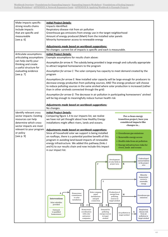| Make impacts specific:                                                 | <b>Initial Project Details:</b>                                                                                                                                                                                                                                                                                        |  |  |
|------------------------------------------------------------------------|------------------------------------------------------------------------------------------------------------------------------------------------------------------------------------------------------------------------------------------------------------------------------------------------------------------------|--|--|
| strong results chains                                                  | Impacts Identified:                                                                                                                                                                                                                                                                                                    |  |  |
| include impacts                                                        | Respiratory disease risk from air pollution                                                                                                                                                                                                                                                                            |  |  |
| that are specific and                                                  | Greenhouse gas emissions from energy use in the target neighborhood                                                                                                                                                                                                                                                    |  |  |
| measureable                                                            | Amount of energy produced (MwH) from the installed solar panels                                                                                                                                                                                                                                                        |  |  |
| [see $p. 6$ ]                                                          | Minority homeowner access to renewable energy                                                                                                                                                                                                                                                                          |  |  |
|                                                                        | Adjustments made based on workbook suggestions:<br>No changes: current list of impacts is specific and each is measurable.                                                                                                                                                                                             |  |  |
| Articulate assumptions:<br>articulating assumptions                    | <b>Initial Project Details:</b><br>Example assumptions for results chain above:                                                                                                                                                                                                                                        |  |  |
| can help clarify your<br>thinking and create<br>a useful structure for | Assumption for arrow A: The subsidy being provided is large enough and culturally appropriate<br>to attract targeted homeowners to the program                                                                                                                                                                         |  |  |
| evaluating evidence<br>[see p. 7]                                      | Assumption for arrow C: The solar company has capacity to meet demand created by the<br>program                                                                                                                                                                                                                        |  |  |
|                                                                        | Assumptions for arrow E: New installed solar capacity will be large enough for producers to                                                                                                                                                                                                                            |  |  |
|                                                                        | decrease energy production from polluting sources; AND The energy producer will choose<br>to reduce polluting sources in the same airshed where solar production is increased (rather<br>than in other airsheds connected through the grid)                                                                            |  |  |
|                                                                        |                                                                                                                                                                                                                                                                                                                        |  |  |
|                                                                        | Assumption for arrow G: The decrease in air pollution in participating homeowners' airshed<br>will be big enough to meaningfully reduce human health risk                                                                                                                                                              |  |  |
|                                                                        | Adjustments made based on workbook suggestions:<br>No changes.                                                                                                                                                                                                                                                         |  |  |
| Identify relevant cross                                                | <b>Initial Project Details:</b>                                                                                                                                                                                                                                                                                        |  |  |
| sector impacts: Existing                                               | Comparing figure 1.4 to our impacts list, we realize<br>For a clean energy                                                                                                                                                                                                                                             |  |  |
| resources can help                                                     | transition project, have you<br>we have not yet thought about how Healthy Energy                                                                                                                                                                                                                                       |  |  |
| determine which cross-                                                 | considered impacts like<br>installations might affect rivers, lands and oceans.                                                                                                                                                                                                                                        |  |  |
| sector impacts are most                                                | changes in                                                                                                                                                                                                                                                                                                             |  |  |
| relevant to your program                                               | Adjustments made based on workbook suggestions:                                                                                                                                                                                                                                                                        |  |  |
| or policy                                                              | Since all household solar we support is being installed<br>• Greenhouse gas emissions                                                                                                                                                                                                                                  |  |  |
| [see p. 9]                                                             | on rooftops, there is a potential positive benefit of this<br>• Renewable energy access                                                                                                                                                                                                                                |  |  |
|                                                                        | program in avoiding land-based impacts of renewable<br>• Health risks from air pollution                                                                                                                                                                                                                               |  |  |
|                                                                        | energy infrastructure. We added this pathway (links J<br>• Energy infrastructure risks for                                                                                                                                                                                                                             |  |  |
|                                                                        | and K) to our results chain and now include this impact<br>rivers, lands and oceans                                                                                                                                                                                                                                    |  |  |
|                                                                        | in our impact list.                                                                                                                                                                                                                                                                                                    |  |  |
|                                                                        | Undeveloped<br>Development<br>natural habitat<br>of solar fields in<br>in the project<br>$\bf K$<br>J<br>project area<br>area                                                                                                                                                                                          |  |  |
|                                                                        |                                                                                                                                                                                                                                                                                                                        |  |  |
|                                                                        | Minority<br>homeowner<br>access to<br>I<br>renewable<br>energy                                                                                                                                                                                                                                                         |  |  |
|                                                                        | Solar company<br>Production of<br>Homeowner                                                                                                                                                                                                                                                                            |  |  |
|                                                                        | A<br>energy from<br>panel<br>н<br>commitment<br>Greenhouse gas<br>installations<br>polluting<br>to solar<br>emissions<br>Interventions<br>and grid<br>sources in<br>installation<br>connection<br>target airshed<br>Solar subsidies<br>provided<br>$B \setminus$<br>$\mathbf{D}$<br>$\mathbf{F}$<br>$C$ $\wedge$<br>ЕĄ |  |  |
|                                                                        | Demand for<br>Respiratory<br>Homeowner<br>Outreach<br>${\bf G}$<br>coordination<br>polluting<br>disease risk<br>to qualified<br>Air pollution in<br>with solar<br>energy sources<br>⋟<br>from air<br>homeowners<br>target airshed<br>in target<br>pollution in<br>and power                                            |  |  |
|                                                                        | airshed<br>companies<br>target airshed                                                                                                                                                                                                                                                                                 |  |  |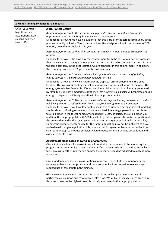| 2. Understanding Evidence for all impacts                                                     |                                                                                                                                                                                                                                                                                                                                                                                                                                                                                                                                                                                                                                                                                                                                                                                                                                                                                                                                                                                              |  |
|-----------------------------------------------------------------------------------------------|----------------------------------------------------------------------------------------------------------------------------------------------------------------------------------------------------------------------------------------------------------------------------------------------------------------------------------------------------------------------------------------------------------------------------------------------------------------------------------------------------------------------------------------------------------------------------------------------------------------------------------------------------------------------------------------------------------------------------------------------------------------------------------------------------------------------------------------------------------------------------------------------------------------------------------------------------------------------------------------------|--|
| Check your major<br>hypotheses and<br>assumptions against<br>existing evidence<br>[see p. 10] | <b>Initial Project Details:</b><br>Assumption for arrow A: The incentive being provided is large enough and culturally<br>appropriate to attract minority homeowners to the program.<br>Evidence for arrow A: We have no evidence that this is true for the target community. In the<br>pilot community of Austin, Texas, the same incentive design resulted in recruitment of 200<br>minority-owned households in one year.                                                                                                                                                                                                                                                                                                                                                                                                                                                                                                                                                                 |  |
|                                                                                               | Assumption for arrow C: The solar company has capacity to meet demand created by the<br>program.<br>Evidence for arrow C: We have a verbal commitment from the CEO of our partner company<br>that they have the capacity to meet generated demand. Based on our past partnership with<br>the same company in the pilot location, we are confident in this commitment. In addition,<br>the company has shown 5% growth in the last fiscal year.                                                                                                                                                                                                                                                                                                                                                                                                                                                                                                                                               |  |
|                                                                                               | Assumption for arrow E: New installed solar capacity will decrease the use of polluting<br>energy sources in the participating homeowners' airshed<br>Evidence for arrow E: Newly installed solar did displace fossil fuel demand in the pilot<br>location. This was confirmed by market analysis and an impact evaluation of the pilot. The<br>energy system in Los Angeles is different and has a higher proportion of energy generated<br>by fossil fuels. We have moderate confidence that newly installed solar will generate enough<br>energy to displace fossil fuel generation in the target community.                                                                                                                                                                                                                                                                                                                                                                              |  |
|                                                                                               | Assumption for arrow G: The decrease in air pollution in participating homeowners' airshed<br>will be big enough to reduce human health risk from energy-related air pollution.<br>Evidence for arrow G: We have low confidence in this assumption because several modeling<br>studies show conflicting estimates of how much fossil fuel energy generation contributes<br>to air pollution in the target homeowner airshed (40-80% of particulate air pollution). In<br>addition, the target population (2,500 households) makes up a much smaller proportion of<br>the energy demand in the Los Angeles region than the target population did in the pilot, so<br>shifting the primary energy source for the target population may not be sufficient to drive<br>airshed-level changes in pollution. It is possible that first-year implementation will not be<br>significant enough to produce sufficiently large reductions in particulate air pollution and<br>associated health risks. |  |
|                                                                                               | Adjustments made based on workbook suggestions:<br>Given limited evidence for arrow A, we will conduct a pre-enrollment phase offering the<br>program in the community to test receptivity. If response rate is less than 25%, we will use<br>focus groups to gather information on how the incentive could be adjusted to make it more<br>attractive.                                                                                                                                                                                                                                                                                                                                                                                                                                                                                                                                                                                                                                       |  |
|                                                                                               | Given moderate confidence in assumptions for arrow E, we will closely monitor energy<br>sourcing with our partner provider and run a communications campaign to encourage<br>reduced use of fossil fuels in the airshed.                                                                                                                                                                                                                                                                                                                                                                                                                                                                                                                                                                                                                                                                                                                                                                     |  |
|                                                                                               | Given low confidence in assumptions for arrow G, we will emphasize monitoring of<br>particulate air pollution and respiratory health risks. We will also focus business growth in<br>this area to ensure the highest possible participation rates in the target population.                                                                                                                                                                                                                                                                                                                                                                                                                                                                                                                                                                                                                                                                                                                  |  |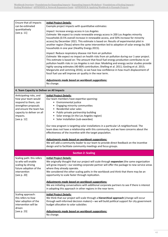| Ensure that all impacts                               | <b>Initial Project Details:</b>                                                                                                          |
|-------------------------------------------------------|------------------------------------------------------------------------------------------------------------------------------------------|
| can be estimated                                      | Example project impacts with quantitative estimates:                                                                                     |
| quantitatively                                        | Impact: Increase energy access in Los Angeles                                                                                            |
| [see p. 11]                                           | Estimate: We expect to create renewable energy access in 200 Los Angeles minority                                                        |
|                                                       | households (0.5% overall increase in renewable access, and 50% increase for minority                                                     |
|                                                       | access) by December 2021. This estimate is based on: Results of experimental pilot in                                                    |
|                                                       | another region (Texas) where the same intervention led to adoption of solar energy by 200                                                |
|                                                       | households in one year (Healthy Energy 2015).                                                                                            |
|                                                       | Impact: Reduce respiratory disease risk from air pollution                                                                               |
|                                                       | Estimate: We expect no impact on health risks from air pollution during our 1-year project.                                              |
|                                                       | This estimate is based on: The amount that fossil fuel energy production contributes to air                                              |
|                                                       | pollution health risks in Los Angeles is not clear. Modeling and energy sector studies provide                                           |
|                                                       | highly varying estimates (40-80% contribution; Shelling et al. 2011; Gosling et al. 2015;                                                |
|                                                       | Margaruite and Lemming 2016), so we have low confidence in how much displacement of                                                      |
|                                                       | fossil fuel use will improve air quality in the near term.                                                                               |
|                                                       | Adjustments made based on workbook suggestions:                                                                                          |
|                                                       | No change.                                                                                                                               |
|                                                       |                                                                                                                                          |
| 4. Team Capacity to Deliver on All Impacts            |                                                                                                                                          |
| Anticipating risks, and                               | <b>Initial Project Details:</b>                                                                                                          |
| how your team would                                   | Our team members have expertise spanning:                                                                                                |
| respond to them, can                                  | • Environmental justice                                                                                                                  |
| strengthen proposals                                  | • Engaging minority communities                                                                                                          |
| and ensure the team has<br>capacity to deliver on all | • Residential solar sales<br>• Public-private partnership building                                                                       |
| impacts.                                              | • Solar energy (in the Los Angeles region)                                                                                               |
| [see p. 12]                                           | • Solar installation (sub-awardee)                                                                                                       |
|                                                       |                                                                                                                                          |
|                                                       | Our new program is targeting solar installations in a particular LA neighborhood. The                                                    |
|                                                       | team does not have a relationship with this community, and we have concerns about the                                                    |
|                                                       | effectiveness of the incentive with the target population.                                                                               |
|                                                       | Adjustments made based on workbook suggestions:                                                                                          |
|                                                       | We will add a community leader to our team to provide direct feedback on the incentive                                                   |
|                                                       | design and to facilitate community meetings and focus groups.                                                                            |
|                                                       |                                                                                                                                          |
|                                                       | <b>Section 2: Scaling</b>                                                                                                                |
| Scaling path: this refers                             | <b>Initial Project Details:</b>                                                                                                          |
| to who will enable                                    | We originally thought that our project will scale through expansion (the same organization                                               |
| scaling by driving                                    | will grow impact)—our existing corporate partner will offer the package to new service areas                                             |
| future adoption of the<br>intervention                | where they already operate.                                                                                                              |
| [see p. 20]                                           | We considered the other scaling paths in the workbook and think that there may be an<br>opportunity to scale faster through replication. |
|                                                       |                                                                                                                                          |
|                                                       | Adjustments made based on workbook suggestions:                                                                                          |
|                                                       | We are initiating conversations with additional corporate partners to see if there is interest                                           |
|                                                       | in adopting this approach in other regions in the near term.                                                                             |
| Scaling approach:                                     | <b>Initial Project Details:</b>                                                                                                          |
| this refers to how                                    | We think that our project will scale through a hierarchical approach (change will occur                                                  |
| later adoption of the                                 | through well-informed decision makers)—we will build political support for city government                                               |
| intervention will be                                  | budget allocation to solar subsidies                                                                                                     |
| driven                                                |                                                                                                                                          |
| [see p. 23]                                           | Adjustments made based on workbook suggestions:                                                                                          |
|                                                       | No change.                                                                                                                               |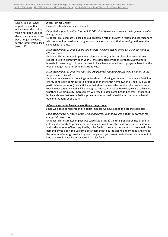| Magnitude of scaled<br>impact: ensure that<br>evidence for the scaling<br>vision has been used to<br>develop estimates of im-<br>pact, not just evidence<br>for the intervention itself<br>[see p. 25] | <b>Initial Project Details:</b><br>Example estimates for scaled impact:                                                                                                                                                                                                                                                                                                                                                                                                                                                                                                                                                                                                                                                                         |
|--------------------------------------------------------------------------------------------------------------------------------------------------------------------------------------------------------|-------------------------------------------------------------------------------------------------------------------------------------------------------------------------------------------------------------------------------------------------------------------------------------------------------------------------------------------------------------------------------------------------------------------------------------------------------------------------------------------------------------------------------------------------------------------------------------------------------------------------------------------------------------------------------------------------------------------------------------------------|
|                                                                                                                                                                                                        | Estimated impact 1: Within 5 years 250,000 minority-owned households will gain renewable<br>energy access.<br>Evidence: This estimate is based on our program's rate of growth in Austin and conversations<br>with community-based solar programs on the east coast and their rate of growth over the<br>same length of time.                                                                                                                                                                                                                                                                                                                                                                                                                   |
|                                                                                                                                                                                                        | Estimated impact 2: Over 5 years, this project will have helped avoid 1.4-2.8 metric tons of<br>CO <sub>2</sub> emissions.<br>Evidence: This estimated impact was calculated using, 1) the number of households we<br>expect to join this program each year, 2) the estimated emissions of those 250,000 total<br>households over length of time they would have been enrolled in our program, based on the<br>type of energy those households currently use.                                                                                                                                                                                                                                                                                   |
|                                                                                                                                                                                                        | Estimated impact 3: Over five years the program will reduce particulate air pollution in the<br>target airsheds by 5%.<br>Evidence: While several modeling studies show conflicting estimates of how much fossil fuel<br>energy generation contributes to air pollution in the target homeowner airshed (40-80% of<br>particulate air pollution), we anticipate that after five years the number of households en-<br>rolled in our target airshed will be enough to impact air quality. However, we are still unsure<br>whether a 5% air quality improvement will result in associated health benefits-other stud-<br>ies have shown that even a 20% improvement in air quality had limited impacts on health<br>outcomes (Zheng et al. 2017). |
|                                                                                                                                                                                                        | Adjustments made based on workbook suggestions:<br>Since we added consideration of habitat impacts, we have added this scaling estimate:                                                                                                                                                                                                                                                                                                                                                                                                                                                                                                                                                                                                        |
|                                                                                                                                                                                                        | Estimated impact 4: After 5 years 27,300 hectares/year of avoided habitat conversion for<br>energy infrastructure.<br>Evidence: This estimated impact was calculated using 1) the total population size of the tar-<br>get neighborhoods, 2) projected solar energy demand over the next five years in California,<br>and 3) the amount of land required by solar fields to produce the amount of projected solar<br>demand. If you apply the California solar demands to our target neighborhoods, and offset<br>the amount of energy provided by our roof panels, you can estimate the avoided amount of<br>land that would have been converted to solar fields.                                                                              |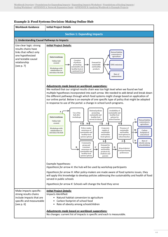#### **Workbook Guidance Initial Project Details Section 1: Expanding Impacts 1. Understanding Causal Pathways to Impacts** Use clear logic: strong results chains have links that reflect only one hypothesized and testable causal relationship [see p. 7] *Initial Project Details: Adjustments made based on workbook suggestions:* We realized that our original results chain was too high level when we found we had multiple hypotheses incorporated into each arrow. We needed to add detail and break down the different pathways through which food systems might change based on application of our online portal. Below is an example of one specific type of policy that might be adopted in response to use of the portal: a change in school lunch programs. Example hypotheses: *Hypothesis for arrow A*: the hub will be used by workshop participants *Hypothesis for arrow H*: After policy-makers are made aware of food systems issues, they will apply this knowledge to develop policies addressing the sustainability and health of food served in public schools *Hypothesis for arrow K*: Schools will change the food they serve Make impacts specific: strong results chains include impacts that are specific and measureable [see p. 6] *Initial Project Details:* Impacts Identified: • Natural habitat conversion to agriculture • Carbon footprint of school food • Rate of obesity among schoolchildren *Adjustments made based on workbook suggestions:* No changes: current list of impacts is specific and each is measurable. Interventions Online hub created Workshops with stakeholders to introduce the hub Use of the hub after workshops National policies promoting sustainable and healthy food served at schools Availability of sustainable and healthy food options for school lunches Rate of obesity among schoolchildren Policy-maker awareness of sustainable and healthy food system options Corporate supply of sustainable and healthy food options Presence of sustainable and healthy food options in school lunches A GVHA IVJA K Carbon footprint of school food Natural habitat conversion to agriculture M Community group and consumer awareness of sustainable and healthy food system options Demand for C | sustainable | D and healthy products by students and parents School district food purchasing preferences  $E$ **A** F<sup>A</sup> L N Creation of policies promoting sustainable and healthy food at a national level Demand for sustainable and healthy products Interventions Online hub created Workshops with stakeholders to introduce the hub  $Rate of$ malnutrition  $GHG$  emissions Natural habitat conversion to agriculture B

#### **Example 2: Food Systems Decision-Making Online Hub**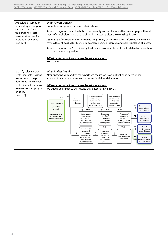| Articulate assumptions:<br>articulating assumptions                                                                                                                                     | <b>Initial Project Details:</b><br>Example assumptions for results chain above:                                                                                                                                                                                                                                                                                                                                                                                                                                                                                                                                                                                                                                                                                                                                                                                                                                                                                                                                                                                                                                                                                                                                                                                                                                                                                                                                                                                       |
|-----------------------------------------------------------------------------------------------------------------------------------------------------------------------------------------|-----------------------------------------------------------------------------------------------------------------------------------------------------------------------------------------------------------------------------------------------------------------------------------------------------------------------------------------------------------------------------------------------------------------------------------------------------------------------------------------------------------------------------------------------------------------------------------------------------------------------------------------------------------------------------------------------------------------------------------------------------------------------------------------------------------------------------------------------------------------------------------------------------------------------------------------------------------------------------------------------------------------------------------------------------------------------------------------------------------------------------------------------------------------------------------------------------------------------------------------------------------------------------------------------------------------------------------------------------------------------------------------------------------------------------------------------------------------------|
| can help clarify your<br>thinking and create<br>a useful structure for                                                                                                                  | Assumption for arrow A: the hub is user friendly and workshops effectively engage different<br>types of stakeholders so that use of the hub extends after the workshop is over                                                                                                                                                                                                                                                                                                                                                                                                                                                                                                                                                                                                                                                                                                                                                                                                                                                                                                                                                                                                                                                                                                                                                                                                                                                                                        |
| evaluating evidence<br>[see p. 7]                                                                                                                                                       | Assumption for arrow H: Information is the primary barrier to action. Informed policy makers<br>have sufficient political influence to overcome vested interests and pass legislative changes.                                                                                                                                                                                                                                                                                                                                                                                                                                                                                                                                                                                                                                                                                                                                                                                                                                                                                                                                                                                                                                                                                                                                                                                                                                                                        |
|                                                                                                                                                                                         | Assumption for arrow K: Sufficiently healthy and sustainable food is affordable for schools to<br>purchase on existing budgets.                                                                                                                                                                                                                                                                                                                                                                                                                                                                                                                                                                                                                                                                                                                                                                                                                                                                                                                                                                                                                                                                                                                                                                                                                                                                                                                                       |
|                                                                                                                                                                                         | Adjustments made based on workbook suggestions:<br>No changes.                                                                                                                                                                                                                                                                                                                                                                                                                                                                                                                                                                                                                                                                                                                                                                                                                                                                                                                                                                                                                                                                                                                                                                                                                                                                                                                                                                                                        |
| Identify relevant cross<br>sector impacts: Existing<br>resources can help<br>determine which cross-<br>sector impacts are most<br>relevant to your program<br>or policy<br>[see $p.9$ ] | <b>Initial Project Details:</b><br>After engaging with additional experts we realize we have not yet considered other<br>important health outcomes, such as rate of childhood diabetes.<br>Adjustments made based on workbook suggestions:<br>We added an impact to our results chain accordingly (link O).<br>National policies<br>Availability of<br>A<br>Use of the<br>promoting<br>sustainable and<br>hub after<br>sustainable and<br>healthy food<br><b>Interventions</b><br>workshops<br>healthy food<br>options for<br>served at schools<br>school lunches<br>L<br>Natural habitat<br>Online hub<br>conversion to<br>created<br>JЛ<br>$\mathbf{K}$<br>G₩<br>$H \wedge$<br>L<br>agriculture<br>Policy-maker<br>Corporate<br>Presence of<br>Workshops with<br>M<br>supply of<br>sustainable<br>awareness of<br>Carbon<br>stakeholders to<br>sustainable<br>sustainable and<br>and healthy<br>footprint of<br>introduce the hub<br>healthy food<br>and healthy<br>food options in<br>school food<br>school lunches<br>system options<br>food options<br>N<br>Rate of<br>F A<br>ЕĄ<br>Community<br>obesity among<br>group and<br>schoolchildren<br>Demand for<br>consumer<br>$\mathbf C$<br>B<br>sustainable<br>D<br>School district<br>awareness of<br>and healthy<br>food purchasing<br>$\mathbf 0$<br>Rate of<br>sustainable and<br>products by<br>preferences<br>diabetes among<br>healthy food<br>students and<br>schoolchildren<br>system options<br>parents |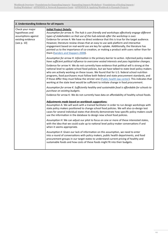Ĭ

| 2. Understanding Evidence for all impacts                                                     |                                                                                                                                                                                                                                                                                                                                                                                                                                                                                                                                                                                                                                       |  |
|-----------------------------------------------------------------------------------------------|---------------------------------------------------------------------------------------------------------------------------------------------------------------------------------------------------------------------------------------------------------------------------------------------------------------------------------------------------------------------------------------------------------------------------------------------------------------------------------------------------------------------------------------------------------------------------------------------------------------------------------------|--|
| Check your major<br>hypotheses and<br>assumptions against<br>existing evidence<br>[see p. 10] | <b>Initial Project Details:</b><br>Assumption for arrow A: The hub is user friendly and workshops effectively engage different<br>types of stakeholders so that use of the hub extends after the workshop is over.<br>Evidence for arrow A: We have no direct evidence that this is true for the target audience.<br>However, literature review shows that an easy to use web platform and interactive<br>engagement based on real-world use are key for uptake. Additionally, the literature has<br>pointed us to the importance of co-creation, or making a product with users rather than for<br>them (Sanders and Stappers 2008). |  |
|                                                                                               | Assumption for arrow H: Information is the primary barrier to action. Informed policy makers<br>have sufficient political influence to overcome vested interests and pass legislative changes.                                                                                                                                                                                                                                                                                                                                                                                                                                        |  |
|                                                                                               | Evidence for arrow H: We do not currently have evidence that political will is strong at the<br>national level to update school food policies, but we have talked to state-level policy makers<br>who are actively working on these issues. We found that for U.S. federal school nutrition<br>programs, food purchasers must follow both federal and state procurement standards, and<br>if those differ they must follow the stricter one (Public health law center). This indicates that<br>working at the state level would be sufficient to initiate change in food procurement.                                                 |  |
|                                                                                               | Assumption for arrow K: Sufficiently healthy and sustainable food is affordable for schools to<br>purchase on existing budgets.                                                                                                                                                                                                                                                                                                                                                                                                                                                                                                       |  |
|                                                                                               | Evidence for arrow K: We do not currently have data on affordability of healthy school foods.                                                                                                                                                                                                                                                                                                                                                                                                                                                                                                                                         |  |
|                                                                                               | Adjustments made based on workbook suggestions:<br>Assumption A: We will work with a trained facilitator in order to run design workshops with<br>state policy makers positioned to change school food policies. We will also co-design test<br>cases for several individual states that directly demonstrate how specific policy makers could<br>use the information in the database to design new school food policies.                                                                                                                                                                                                             |  |
|                                                                                               | Assumption H: We can adjust our pilot to focus on one or more of these interested states,<br>with the idea that we could scale up to national level policy-maker conversations if and<br>when it seems appropriate.                                                                                                                                                                                                                                                                                                                                                                                                                   |  |
|                                                                                               | Assumption K: Given our lack of information on this assumption, we need to enter<br>into a round of conversations with policy makers, public health departments, and food<br>procurement groups in our target states to understand current pricing of healthy and<br>sustainable foods and how costs of these foods might fit into their budgets.                                                                                                                                                                                                                                                                                     |  |

ī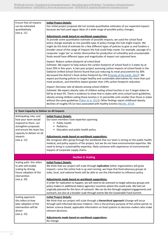| Ensure that all impacts<br>can be estimated<br>quantitatively<br>[see p. 11]                                                                                                       | <b>Initial Project Details:</b><br>Our initial project proposal did not include quantitative estimates of our expected impacts<br>because we had used vague ideas of a wide range of possible policy changes.<br>Adjustments made based on workbook suggestions:<br>To provide some quantitative estimate of possible impacts, we used the school food<br>policy change example as one possible type of policy change the hub might inspire. We<br>might do this kind of estimate for a few different types of policies to give us and funders a                                                                |  |
|------------------------------------------------------------------------------------------------------------------------------------------------------------------------------------|-----------------------------------------------------------------------------------------------------------------------------------------------------------------------------------------------------------------------------------------------------------------------------------------------------------------------------------------------------------------------------------------------------------------------------------------------------------------------------------------------------------------------------------------------------------------------------------------------------------------|--|
|                                                                                                                                                                                    | broader sense of the range of impacts the hub could help create. For example, passage of a<br>corporate 'sugar tax' or similar disincentive for production of unhealthy and unsustainable<br>foods would have different types and magnitudes of impact not captured here.                                                                                                                                                                                                                                                                                                                                       |  |
|                                                                                                                                                                                    | Impact: Reduce carbon footprint of school food<br>Estimate: We expect to help reduce the carbon footprint of school food in 3 states by at<br>least 20% in five years. A two year project assessing carbon impacts of school foods in the<br>Oakland Unified School District found that just reducing its meat procurement by 30%<br>decreased the district's food carbon footprint by 14% (Friends of the Earth, 2017). We<br>expect purchasing policies to target healthy and sustainable alternatives for more than just<br>meat products, and therefore expect greater than 14% carbon footprint reduction. |  |
|                                                                                                                                                                                    | Impact: Decrease rate of obesity among school children<br>Estimate: We expect obesity rates of children eating school lunches in our 3 target states to<br>fall by at least 5%. There is evidence to show that in states with strict school lunch guidelines,<br>obesity among children eating those lunches is 11 percentile units smaller than those in states<br>without the same guidelines (Taber et al. 2013). Other findings report childhood obesity<br>declines of roughly 5% (or less) associated with healthy lunches (Nestle, 2013).                                                                |  |
| 4. Team Capacity to Deliver on All Impacts                                                                                                                                         |                                                                                                                                                                                                                                                                                                                                                                                                                                                                                                                                                                                                                 |  |
| Anticipating risks, and<br>how your team would<br>respond to them, can<br>strengthen proposals<br>and ensure the team has<br>capacity to deliver on all<br>impacts.<br>[see p. 12] | <b>Initial Project Details:</b><br>Our team members have expertise spanning:<br>• Public health<br>• Pediatrics<br>• Education and public health policy<br>Adjustments made based on workbook suggestions:<br>We recognize after going through the workbook that our team is strong on the public health,<br>medical, and policy aspects of the project, but we do not have environmental expertise. We<br>need to bring in sustainability expertise, likely someone with experience of environmental<br>impacts of corporate supply chains.                                                                    |  |
|                                                                                                                                                                                    |                                                                                                                                                                                                                                                                                                                                                                                                                                                                                                                                                                                                                 |  |
| <b>Section 2: Scaling</b>                                                                                                                                                          |                                                                                                                                                                                                                                                                                                                                                                                                                                                                                                                                                                                                                 |  |
| Scaling path: this refers<br>to who will enable<br>scaling by driving<br>future adoption of the<br>intervention<br>[see p. 20]                                                     | <b>Initial Project Details:</b><br>We think that our project will scale through replication (other organizations will grow<br>impact)—once the online hub is up and running, we hope that food advocacy groups at<br>state, local, and national levels will be able to use the information to influence policy.                                                                                                                                                                                                                                                                                                 |  |
|                                                                                                                                                                                    | Adjustments made based on workbook suggestions:<br>In order for replication to happen, we will need to do outreach to target advocacy groups and<br>policy makers in additional states/ agencies/ countries where this could scale. We had not<br>originally planned for this form of outreach. We can do this through targeted engagements and<br>outreach, but also at a broader scale through events like the Sustainable Food Summit.                                                                                                                                                                       |  |
| Scaling approach:<br>this refers to how<br>later adoption of the<br>intervention will be<br>driven<br>[see p. 23]                                                                  | <b>Initial Project Details:</b><br>We think that our project will scale through a hierarchical approach (change will occur<br>through well-informed decision makers)—this is the primary purpose of the online portal, to<br>deliver science-based, applicable information on food systems to decision-makers who make<br>relevant decisions.                                                                                                                                                                                                                                                                   |  |
|                                                                                                                                                                                    | Adjustments made based on workbook suggestions:<br>No change.                                                                                                                                                                                                                                                                                                                                                                                                                                                                                                                                                   |  |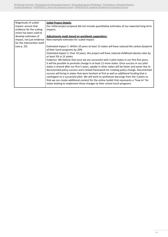| Magnitude of scaled         | <b>Initial Project Details:</b>                                                                   |
|-----------------------------|---------------------------------------------------------------------------------------------------|
|                             |                                                                                                   |
| impact: ensure that         | Our initial project proposal did not include quantitative estimates of our expected long-term     |
| evidence for the scaling    | impacts.                                                                                          |
| vision has been used to     |                                                                                                   |
| develop estimates of        | Adjustments made based on workbook suggestions:                                                   |
| impact, not just evidence   | New example estimates for scaled impact:                                                          |
| for the intervention itself |                                                                                                   |
| [see p. $25$ ]              | Estimated impact 1: Within 10 years at least 15 states will have reduced the carbon footprint     |
|                             | of their lunch programs by 20%.                                                                   |
|                             | Estimated impact 2: Over 10 years, this project will have reduced childhood obesity rates by      |
|                             | at least 5% in 15 states.                                                                         |
|                             | Evidence: We believe that once we are successful with 3 pilot states in our first five years,     |
|                             | it will be possible to promote change in at least 12 more states. Once success in our pilot       |
|                             | states is shared after our first 5 years, uptake in other states will be faster and easier due to |
|                             | documented policy success and a tested framework for creating policy change. Documented           |
|                             | success will bring in states that were hesitant at first as well as additional funding that is    |
|                             | contingent on a successful pilot. We will work to synthesize learnings from the 3 pilots so       |
|                             | that we can create additional content for the online toolkit that represents a "how to" for       |
|                             | states looking to implement these changes to their school lunch programs.                         |
|                             |                                                                                                   |